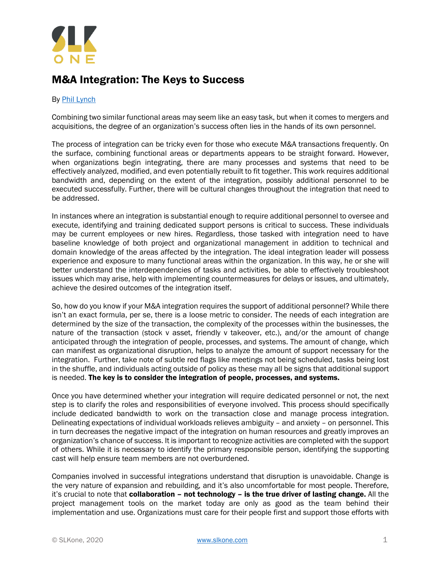

## M&A Integration: The Keys to Success

## By [Phil Lynch](https://slkone.com/team-members/Phil-Lynch/)

Combining two similar functional areas may seem like an easy task, but when it comes to mergers and acquisitions, the degree of an organization's success often lies in the hands of its own personnel.

The process of integration can be tricky even for those who execute M&A transactions frequently. On the surface, combining functional areas or departments appears to be straight forward. However, when organizations begin integrating, there are many processes and systems that need to be effectively analyzed, modified, and even potentially rebuilt to fit together. This work requires additional bandwidth and, depending on the extent of the integration, possibly additional personnel to be executed successfully. Further, there will be cultural changes throughout the integration that need to be addressed.

In instances where an integration is substantial enough to require additional personnel to oversee and execute, identifying and training dedicated support persons is critical to success. These individuals may be current employees or new hires. Regardless, those tasked with integration need to have baseline knowledge of both project and organizational management in addition to technical and domain knowledge of the areas affected by the integration. The ideal integration leader will possess experience and exposure to many functional areas within the organization. In this way, he or she will better understand the interdependencies of tasks and activities, be able to effectively troubleshoot issues which may arise, help with implementing countermeasures for delays or issues, and ultimately, achieve the desired outcomes of the integration itself.

So, how do you know if your M&A integration requires the support of additional personnel? While there isn't an exact formula, per se, there is a loose metric to consider. The needs of each integration are determined by the size of the transaction, the complexity of the processes within the businesses, the nature of the transaction (stock v asset, friendly v takeover, etc.), and/or the amount of change anticipated through the integration of people, processes, and systems. The amount of change, which can manifest as organizational disruption, helps to analyze the amount of support necessary for the integration. Further, take note of subtle red flags like meetings not being scheduled, tasks being lost in the shuffle, and individuals acting outside of policy as these may all be signs that additional support is needed. The key is to consider the integration of people, processes, and systems.

Once you have determined whether your integration will require dedicated personnel or not, the next step is to clarify the roles and responsibilities of everyone involved. This process should specifically include dedicated bandwidth to work on the transaction close and manage process integration. Delineating expectations of individual workloads relieves ambiguity – and anxiety – on personnel. This in turn decreases the negative impact of the integration on human resources and greatly improves an organization's chance of success. It is important to recognize activities are completed with the support of others. While it is necessary to identify the primary responsible person, identifying the supporting cast will help ensure team members are not overburdened.

Companies involved in successful integrations understand that disruption is unavoidable. Change is the very nature of expansion and rebuilding, and it's also uncomfortable for most people. Therefore, it's crucial to note that collaboration - not technology - is the true driver of lasting change. All the project management tools on the market today are only as good as the team behind their implementation and use. Organizations must care for their people first and support those efforts with